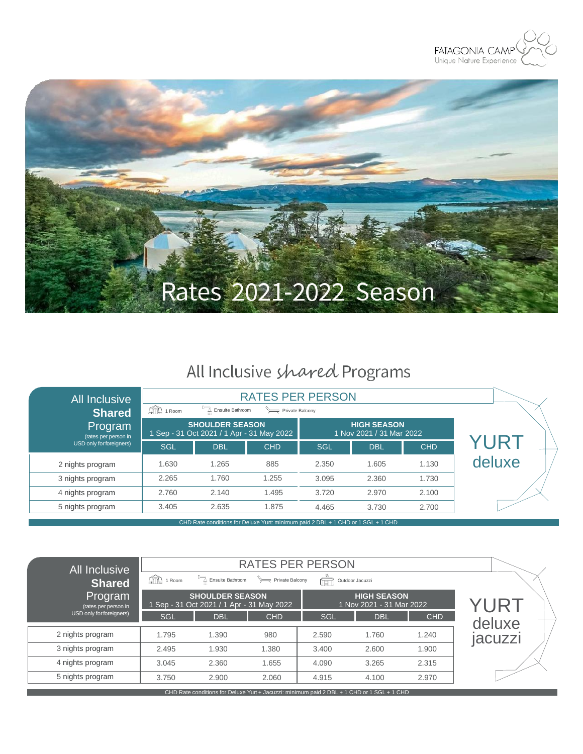



# All Inclusive shared Programs

| <b>All Inclusive</b><br><b>Shared</b> | $\mathbb{R}$ 1 Room                                                              | <b>RATES PER PERSON</b><br>Ensuite Bathroom<br>Private Balcony      |            |            |                                                |            |        |
|---------------------------------------|----------------------------------------------------------------------------------|---------------------------------------------------------------------|------------|------------|------------------------------------------------|------------|--------|
| Program<br>(rates per person in       |                                                                                  | <b>SHOULDER SEASON</b><br>1 Sep - 31 Oct 2021 / 1 Apr - 31 May 2022 |            |            | <b>HIGH SEASON</b><br>1 Nov 2021 / 31 Mar 2022 |            |        |
| USD only for foreigners)              | <b>SGL</b>                                                                       | <b>DBL</b>                                                          | <b>CHD</b> | <b>SGL</b> | <b>DBL</b>                                     | <b>CHD</b> | YURT   |
| 2 nights program                      | 1.630                                                                            | 1.265                                                               | 885        | 2.350      | 1.605                                          | 1.130      | deluxe |
| 3 nights program                      | 2.265                                                                            | 1.760                                                               | 1.255      | 3.095      | 2.360                                          | 1.730      |        |
| 4 nights program                      | 2.760                                                                            | 2.140                                                               | 1.495      | 3.720      | 2.970                                          | 2.100      |        |
| 5 nights program                      | 3.405                                                                            | 2.635                                                               | 1.875      | 4.465      | 3.730                                          | 2.700      |        |
|                                       | CHD Rate conditions for Deluxe Yurt: minimum paid 2 DBL + 1 CHD or 1 SGL + 1 CHD |                                                                     |            |            |                                                |            |        |

| All Inclusive                   |                               | <b>RATES PER PERSON</b>                                             |            |       |                                                |            |         |  |  |
|---------------------------------|-------------------------------|---------------------------------------------------------------------|------------|-------|------------------------------------------------|------------|---------|--|--|
| Shared                          | $\widehat{\mathbb{H}}$ 1 Room | Ensuite Bathroom<br>Private Balcony<br>Outdoor Jacuzzi<br>耳         |            |       |                                                |            |         |  |  |
| Program<br>(rates per person in |                               | <b>SHOULDER SEASON</b><br>1 Sep - 31 Oct 2021 / 1 Apr - 31 May 2022 |            |       | <b>HIGH SEASON</b><br>1 Nov 2021 - 31 Mar 2022 |            | YURT    |  |  |
| USD only for foreigners)        | SGL                           | <b>DBL</b>                                                          | <b>CHD</b> | SGL   | <b>DBL</b>                                     | <b>CHD</b> | deluxe  |  |  |
| 2 nights program                | 1.795                         | 1.390                                                               | 980        | 2.590 | 1.760                                          | 1.240      | jacuzzi |  |  |
| 3 nights program                | 2.495                         | 1.930                                                               | 1.380      | 3.400 | 2.600                                          | 1.900      |         |  |  |
| 4 nights program                | 3.045                         | 2.360                                                               | 1.655      | 4.090 | 3.265                                          | 2.315      |         |  |  |
| 5 nights program                | 3.750                         | 2.900                                                               | 2.060      | 4.915 | 4.100                                          | 2.970      |         |  |  |

CHD Rate conditions for Deluxe Yurt + Jacuzzi: minimum paid 2 DBL + 1 CHD or 1 SGL + 1 CHD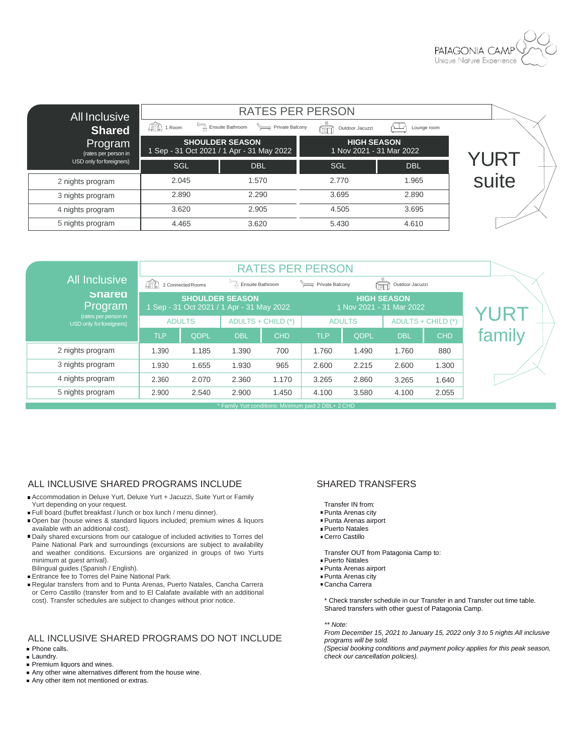

| All Inclusive<br><b>Shared</b>  | $\mathbb{Z}$ 1 Room | <b>RATES PER PERSON</b><br>Ensuite Bathroom Private Balcony         | Lounge room                                    |            |       |
|---------------------------------|---------------------|---------------------------------------------------------------------|------------------------------------------------|------------|-------|
| Program<br>(rates per person in |                     | <b>SHOULDER SEASON</b><br>1 Sep - 31 Oct 2021 / 1 Apr - 31 May 2022 | <b>HIGH SEASON</b><br>1 Nov 2021 - 31 Mar 2022 |            |       |
| USD only for foreigners)        | SGL                 | <b>DBL</b>                                                          | SGL                                            | <b>DBL</b> | YUR I |
| 2 nights program                | 2.045               | 1.570                                                               | 2.770                                          | 1.965      | suite |
| 3 nights program                | 2.890               | 2.290                                                               | 3.695                                          | 2.890      |       |
| 4 nights program                | 3.620               | 2.905                                                               | 4.505                                          | 3.695      |       |
| 5 nights program                | 4.465               | 3.620                                                               | 5.430                                          | 4.610      |       |

|                                                 | <b>RATES PER PERSON</b> |                                           |                        |                    |                                                     |               |                                                |                    |        |
|-------------------------------------------------|-------------------------|-------------------------------------------|------------------------|--------------------|-----------------------------------------------------|---------------|------------------------------------------------|--------------------|--------|
| <b>All Inclusive</b>                            | АÑ                      | 2 Connected Rooms                         | Ensuite Bathroom       |                    | Private Balcony                                     |               | Outdoor Jacuzzi<br>) en 1                      |                    |        |
| <b>Snared</b><br>Program                        |                         | 1 Sep - 31 Oct 2021 / 1 Apr - 31 May 2022 | <b>SHOULDER SEASON</b> |                    |                                                     |               | <b>HIGH SEASON</b><br>1 Nov 2021 - 31 Mar 2022 |                    |        |
| (rates per person in<br>USD only forforeigners) |                         | <b>ADULTS</b>                             |                        | ADULTS + CHILD (*) |                                                     | <b>ADULTS</b> |                                                | ADULTS + CHILD (*) |        |
|                                                 | <b>TLP</b>              | QDPL                                      | <b>DBL</b>             | <b>CHD</b>         | <b>TLP</b>                                          | QDPL          | <b>DBL</b>                                     | <b>CHD</b>         | family |
| 2 nights program                                | 1.390                   | 1.185                                     | 1.390                  | 700                | 1.760                                               | 1.490         | 1.760                                          | 880                |        |
| 3 nights program                                | 1.930                   | 1.655                                     | 1.930                  | 965                | 2.600                                               | 2.215         | 2.600                                          | 1.300              |        |
| 4 nights program                                | 2.360                   | 2.070                                     | 2.360                  | 1.170              | 3.265                                               | 2.860         | 3.265                                          | 1.640              |        |
| 5 nights program                                | 2.900                   | 2.540                                     | 2.900                  | 1.450              | 4.100                                               | 3.580         | 4.100                                          | 2.055              |        |
|                                                 |                         |                                           |                        |                    | * Family Yurt conditions: Minimum paid 2 DBL+ 2 CHD |               |                                                |                    |        |

### ALL INCLUSIVE SHARED PROGRAMS INCLUDE SHARED TRANSFERS

- Accommodation in Deluxe Yurt, Deluxe Yurt + Jacuzzi, Suite Yurt or Family Yurt depending on your request.
- Full board (buffet breakfast / lunch or box lunch / menu dinner).
- Open bar (house wines & standard liquors included; premium wines & liquors available with an additional cost).
- Daily shared excursions from our catalogue of included activities to Torres del Paine National Park and surroundings (excursions are subject to availability and weather conditions. Excursions are organized in groups of two Yurts minimum at guest arrival).
- Bilingual guides (Spanish / English).
- **Entrance fee to Torres del Paine National Park.**
- Regular transfers from and to Punta Arenas, Puerto Natales, Cancha Carrera or Cerro Castillo (transfer from and to El Calafate available with an additional cost). Transfer schedules are subject to changes without prior notice.

### ALL INCLUSIVE SHARED PROGRAMS DO NOT INCLUDE

- **Phone calls.**
- **Laundry.**
- Premium liquors and wines.
- Any other wine alternatives different from the house wine.
- Any other item not mentioned or extras.

- Transfer IN from:
- Punta Arenas city
- Punta Arenas airport
- Puerto Natales
- Cerro Castillo

Transfer OUT from Patagonia Camp to:

- Puerto Natales
- Punta Arenas airport ■ Punta Arenas city
- Cancha Carrera
- 

\* Check transfer schedule in our Transfer in and Transfer out time table. Shared transfers with other guest of Patagonia Camp.

*\*\* Note:*

*From December 15, 2021 to January 15, 2022 only 3 to 5 nights All inclusive programs will be sold.*

*(Special booking conditions and payment policy applies for this peak season, check our cancellation policies).*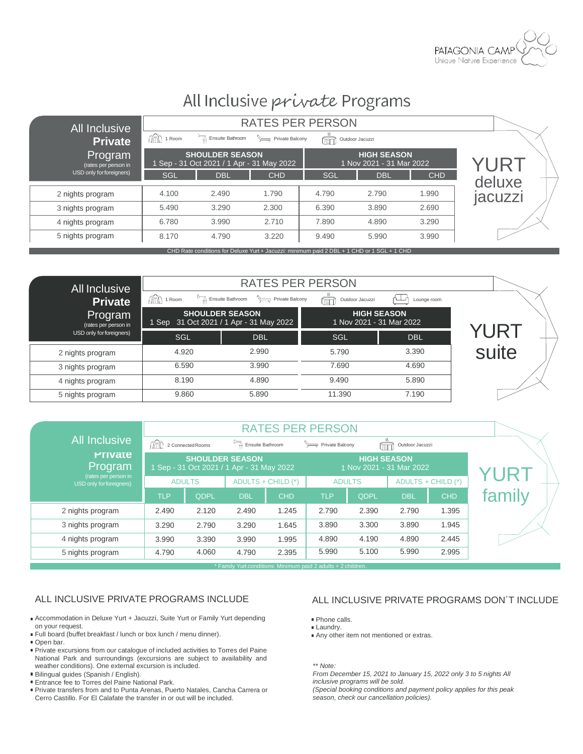

## All Inclusive private Programs

| All Inclusive                   |                                                                                            |                                                                     |            |       |                                                |            |         |  |  |
|---------------------------------|--------------------------------------------------------------------------------------------|---------------------------------------------------------------------|------------|-------|------------------------------------------------|------------|---------|--|--|
| Private                         | $\mathbb{R}$ 1 Room                                                                        | Ensuite Bathroom<br>Private Balcony<br>Outdoor Jacuzzi<br>اللقل     |            |       |                                                |            |         |  |  |
| Program<br>(rates per person in |                                                                                            | <b>SHOULDER SEASON</b><br>1 Sep - 31 Oct 2021 / 1 Apr - 31 May 2022 |            |       | <b>HIGH SEASON</b><br>1 Nov 2021 - 31 Mar 2022 |            | YURT    |  |  |
| USD only for foreigners)        | SGL                                                                                        | <b>DBL</b>                                                          | <b>CHD</b> | SGL   | <b>DBL</b>                                     | <b>CHD</b> | deluxe  |  |  |
| 2 nights program                | 4.100                                                                                      | 2.490                                                               | 1.790      | 4.790 | 2.790                                          | 1.990      | jacuzzi |  |  |
| 3 nights program                | 5.490                                                                                      | 3.290                                                               | 2.300      | 6.390 | 3.890                                          | 2.690      |         |  |  |
| 4 nights program                | 6.780                                                                                      | 3.990                                                               | 2.710      | 7.890 | 4.890                                          | 3.290      |         |  |  |
| 5 nights program                | 8.170                                                                                      | 4.790                                                               | 3.220      | 9.490 | 5.990                                          | 3.990      |         |  |  |
|                                 | CHD Rate conditions for Deluxe Yurt + Jacuzzi: minimum paid 2 DBL + 1 CHD or 1 SGL + 1 CHD |                                                                     |            |       |                                                |            |         |  |  |

| <b>All Inclusive</b>            |                    | <b>RATES PER PERSON</b>                                           |                          |                    |       |
|---------------------------------|--------------------|-------------------------------------------------------------------|--------------------------|--------------------|-------|
| Private                         | $\text{Im}$ 1 Room | Ensuite Bathroom<br>Private Balcony                               | Outdoor Jacuzzi<br>) ELL | Lounge room<br>∼   |       |
| Program<br>(rates per person in |                    | <b>SHOULDER SEASON</b><br>1 Sep 31 Oct 2021 / 1 Apr - 31 May 2022 | 1 Nov 2021 - 31 Mar 2022 | <b>HIGH SEASON</b> |       |
| USD only for foreigners)        | SGL                | <b>DBL</b>                                                        | SGL                      | <b>DBL</b>         | YURT  |
| 2 nights program                | 4.920              | 2.990                                                             | 5.790                    | 3.390              | suite |
| 3 nights program                | 6.590              | 3.990                                                             | 7.690                    | 4.690              |       |
| 4 nights program                | 8.190              | 4.890                                                             | 9.490                    | 5.890              |       |
| 5 nights program                | 9.860              | 5.890                                                             | 11.390                   | 7.190              |       |

|                                                  |            |                   |                                                                     |                    | <b>RATES PER PERSON</b> |                    |                          |                    |        |
|--------------------------------------------------|------------|-------------------|---------------------------------------------------------------------|--------------------|-------------------------|--------------------|--------------------------|--------------------|--------|
| <b>All Inclusive</b>                             | ÆФ         | 2 Connected Rooms | Ensuite Bathroom                                                    |                    | Private Balcony         |                    | Outdoor Jacuzzi<br>ÙETÍ  |                    |        |
| <b>Private</b><br>Program                        |            |                   | <b>SHOULDER SEASON</b><br>1 Sep - 31 Oct 2021 / 1 Apr - 31 May 2022 |                    |                         | <b>HIGH SEASON</b> | 1 Nov 2021 - 31 Mar 2022 |                    | YUR'   |
| (rates per person in<br>USD only for foreigners) |            | <b>ADULTS</b>     |                                                                     | ADULTS + CHILD (*) |                         | <b>ADULTS</b>      |                          | ADULTS + CHILD (*) |        |
|                                                  | <b>TLP</b> | QDPL              | <b>DBL</b>                                                          | <b>CHD</b>         | <b>TLP</b>              | QDPL               | <b>DBL</b>               | <b>CHD</b>         | family |
| 2 nights program                                 | 2.490      | 2.120             | 2.490                                                               | 1.245              | 2.790                   | 2.390              | 2.790                    | 1.395              |        |
| 3 nights program                                 | 3.290      | 2.790             | 3.290                                                               | 1.645              | 3.890                   | 3.300              | 3.890                    | 1.945              |        |
| 4 nights program                                 | 3.990      | 3.390             | 3.990                                                               | 1.995              | 4.890                   | 4.190              | 4.890                    | 2.445              |        |
| 5 nights program                                 | 4.790      | 4.060             | 4.790                                                               | 2.395              | 5.990                   | 5.100              | 5.990                    | 2.995              |        |

\* Family Yurt conditions: Minimum paid 2 adults + 2 children.

- Accommodation in Deluxe Yurt + Jacuzzi, Suite Yurt or Family Yurt depending on your request.
- Full board (buffet breakfast / lunch or box lunch / menu dinner).
- Open bar.
- Private excursions from our catalogue of included activities to Torres del Paine National Park and surroundings (excursions are subject to availability and weather conditions). One external excursion is included.
- Bilingual guides (Spanish / English).
- **Entrance fee to Torres del Paine National Park.**
- Private transfers from and to Punta Arenas, Puerto Natales, Cancha Carrera or Cerro Castillo. For El Calafate the transfer in or out will be included.

### ALL INCLUSIVE PRIVATE PROGRAMS INCLUDE ALL INCLUSIVE PRIVATE PROGRAMS DON'T INCLUDE

- Phone calls.
- **Laundry.**
- Any other item not mentioned or extras.

*\*\* Note:*

*From December 15, 2021 to January 15, 2022 only 3 to 5 nights All inclusive programs will be sold.*

*(Special booking conditions and payment policy applies for this peak season, check our cancellation policies).*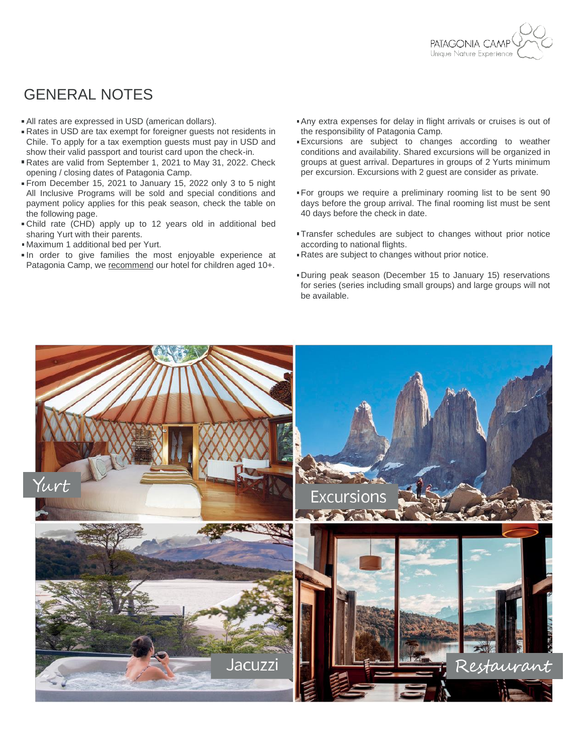

### GENERAL NOTES

- All rates are expressed in USD (american dollars).
- Rates in USD are tax exempt for foreigner guests not residents in Chile. To apply for a tax exemption guests must pay in USD and show their valid passport and tourist card upon the check-in.
- Rates are valid from September 1, 2021 to May 31, 2022. Check opening / closing dates of Patagonia Camp.
- From December 15, 2021 to January 15, 2022 only 3 to 5 night All Inclusive Programs will be sold and special conditions and payment policy applies for this peak season, check the table on the following page.
- Child rate (CHD) apply up to 12 years old in additional bed sharing Yurt with their parents.
- Maximum 1 additional bed per Yurt.
- In order to give families the most enjoyable experience at Patagonia Camp, we recommend our hotel for children aged 10+.
- Any extra expenses for delay in flight arrivals or cruises is out of the responsibility of Patagonia Camp.
- Excursions are subject to changes according to weather conditions and availability. Shared excursions will be organized in groups at guest arrival. Departures in groups of 2 Yurts minimum per excursion. Excursions with 2 guest are consider as private.
- For groups we require a preliminary rooming list to be sent 90 days before the group arrival. The final rooming list must be sent 40 days before the check in date.
- **Transfer schedules are subject to changes without prior notice** according to national flights.
- Rates are subject to changes without prior notice.
- During peak season (December 15 to January 15) reservations for series (series including small groups) and large groups will not be available.

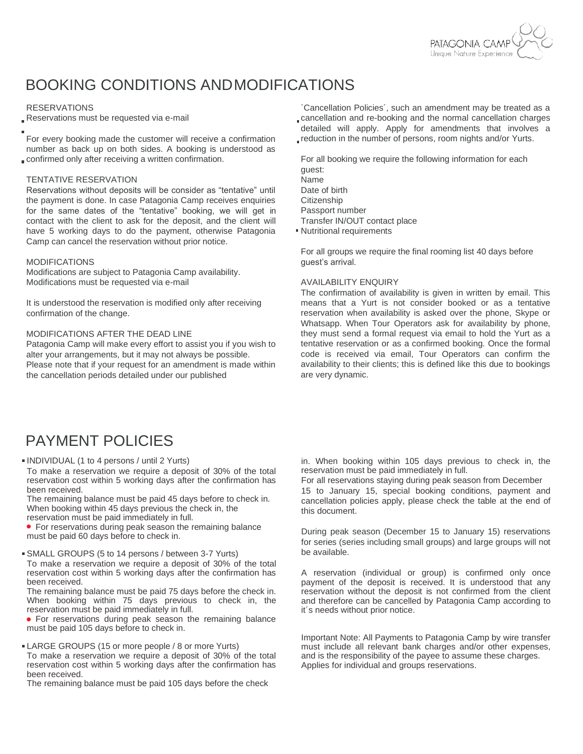

## BOOKING CONDITIONS ANDMODIFICATIONS

### RESERVATIONS

Reservations must be requested via e-mail

For every booking made the customer will receive a confirmation number as back up on both sides. A booking is understood as confirmed only after receiving a written confirmation.

### TENTATIVE RESERVATION

Reservations without deposits will be consider as "tentative" until the payment is done. In case Patagonia Camp receives enquiries for the same dates of the "tentative" booking, we will get in contact with the client to ask for the deposit, and the client will have 5 working days to do the payment, otherwise Patagonia Camp can cancel the reservation without prior notice.

#### MODIFICATIONS

Modifications are subject to Patagonia Camp availability. Modifications must be requested via e-mail

It is understood the reservation is modified only after receiving confirmation of the change.

### MODIFICATIONS AFTER THE DEAD LINE

Patagonia Camp will make every effort to assist you if you wish to alter your arrangements, but it may not always be possible. Please note that if your request for an amendment is made within the cancellation periods detailed under our published

`Cancellation Policies´, such an amendment may be treated as a

- cancellation and re-booking and the normal cancellation charges detailed will apply. Apply for amendments that involves a
- reduction in the number of persons, room nights and/or Yurts.

For all booking we require the following information for each guest: Name Date of birth **Citizenship** Passport number Transfer IN/OUT contact place Nutritional requirements

For all groups we require the final rooming list 40 days before guest's arrival.

### AVAILABILITY ENQUIRY

The confirmation of availability is given in written by email. This means that a Yurt is not consider booked or as a tentative reservation when availability is asked over the phone, Skype or Whatsapp. When Tour Operators ask for availability by phone, they must send a formal request via email to hold the Yurt as a tentative reservation or as a confirmed booking. Once the formal code is received via email, Tour Operators can confirm the availability to their clients; this is defined like this due to bookings are very dynamic.

### PAYMENT POLICIES

INDIVIDUAL (1 to 4 persons / until 2 Yurts)

To make a reservation we require a deposit of 30% of the total reservation cost within 5 working days after the confirmation has been received.

The remaining balance must be paid 45 days before to check in. When booking within 45 days previous the check in, the

reservation must be paid immediately in full.

**• For reservations during peak season the remaining balance** must be paid 60 days before to check in.

SMALL GROUPS (5 to 14 persons / between 3-7 Yurts)

To make a reservation we require a deposit of 30% of the total reservation cost within 5 working days after the confirmation has been received.

The remaining balance must be paid 75 days before the check in. When booking within 75 days previous to check in, the reservation must be paid immediately in full.

For reservations during peak season the remaining balance must be paid 105 days before to check in.

LARGE GROUPS (15 or more people / 8 or more Yurts)

To make a reservation we require a deposit of 30% of the total reservation cost within 5 working days after the confirmation has been received.

The remaining balance must be paid 105 days before the check

in. When booking within 105 days previous to check in, the reservation must be paid immediately in full.

For all reservations staying during peak season from December 15 to January 15, special booking conditions, payment and cancellation policies apply, please check the table at the end of this document.

During peak season (December 15 to January 15) reservations for series (series including small groups) and large groups will not be available.

A reservation (individual or group) is confirmed only once payment of the deposit is received. It is understood that any reservation without the deposit is not confirmed from the client and therefore can be cancelled by Patagonia Camp according to it´s needs without prior notice.

Important Note: All Payments to Patagonia Camp by wire transfer must include all relevant bank charges and/or other expenses, and is the responsibility of the payee to assume these charges. Applies for individual and groups reservations.